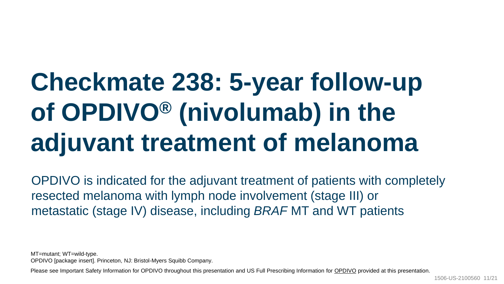# **Checkmate 238: 5-year follow-up of OPDIVO® (nivolumab) in the adjuvant treatment of melanoma**

OPDIVO is indicated for the adjuvant treatment of patients with completely resected melanoma with lymph node involvement (stage III) or metastatic (stage IV) disease, including *BRAF* MT and WT patients

MT=mutant; WT=wild-type.

OPDIVO [package insert]. Princeton, NJ: Bristol-Myers Squibb Company.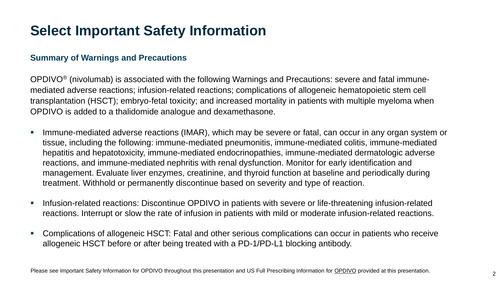# **Select Important Safety Information**

#### **Summary of Warnings and Precautions**

OPDIVO® (nivolumab) is associated with the following Warnings and Precautions: severe and fatal immunemediated adverse reactions; infusion-related reactions; complications of allogeneic hematopoietic stem cell transplantation (HSCT); embryo-fetal toxicity; and increased mortality in patients with multiple myeloma when OPDIVO is added to a thalidomide analogue and dexamethasone.

- **E** Immune-mediated adverse reactions (IMAR), which may be severe or fatal, can occur in any organ system or tissue, including the following: immune-mediated pneumonitis, immune-mediated colitis, immune-mediated hepatitis and hepatotoxicity, immune-mediated endocrinopathies, immune-mediated dermatologic adverse reactions, and immune-mediated nephritis with renal dysfunction. Monitor for early identification and management. Evaluate liver enzymes, creatinine, and thyroid function at baseline and periodically during treatment. Withhold or permanently discontinue based on severity and type of reaction.
- Infusion-related reactions: Discontinue OPDIVO in patients with severe or life-threatening infusion-related reactions. Interrupt or slow the rate of infusion in patients with mild or moderate infusion-related reactions.
- Complications of allogeneic HSCT: Fatal and other serious complications can occur in patients who receive allogeneic HSCT before or after being treated with a PD-1/PD-L1 blocking antibody.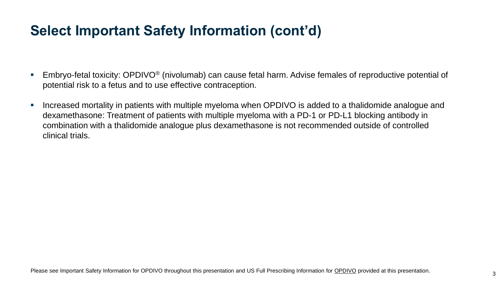- Embryo-fetal toxicity: OPDIVO<sup>®</sup> (nivolumab) can cause fetal harm. Advise females of reproductive potential of potential risk to a fetus and to use effective contraception.
- Increased mortality in patients with multiple myeloma when OPDIVO is added to a thalidomide analogue and dexamethasone: Treatment of patients with multiple myeloma with a PD-1 or PD-L1 blocking antibody in combination with a thalidomide analogue plus dexamethasone is not recommended outside of controlled clinical trials.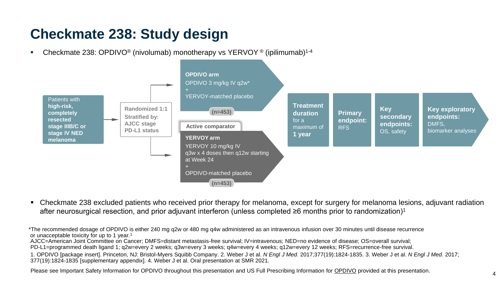### **Checkmate 238: Study design**

**•** Checkmate 238: OPDIVO<sup>®</sup> (nivolumab) monotherapy vs YERVOY<sup>®</sup> (ipilimumab)<sup>1-4</sup>



▪ Checkmate 238 excluded patients who received prior therapy for melanoma, except for surgery for melanoma lesions, adjuvant radiation after neurosurgical resection, and prior adjuvant interferon (unless completed ≥6 months prior to randomization)<sup>1</sup>

AJCC=American Joint Committee on Cancer; DMFS=distant metastasis-free survival; IV=intravenous; NED=no evidence of disease; OS=overall survival; \*The recommended dosage of OPDIVO is either 240 mg q2w or 480 mg q4w administered as an intravenous infusion over 30 minutes until disease recurrence or unacceptable toxicity for up to 1 year.<sup>1</sup>

PD-L1=programmed death ligand 1; q2w=every 2 weeks; q3w=every 3 weeks; q4w=every 4 weeks; q12w=every 12 weeks; RFS=recurrence-free survival.

1. OPDIVO [package insert]. Princeton, NJ: Bristol-Myers Squibb Company. 2. Weber J et al. *N Engl J Med.* 2017;377(19):1824-1835. 3. Weber J et al. *N Engl J Med.* 2017; 377(19):1824-1835 [supplementary appendix]. 4. Weber J et al. Oral presentation at SMR 2021.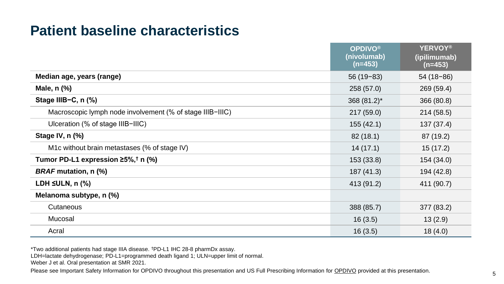### **Patient baseline characteristics**

|                                                           | <b>OPDIVO®</b><br>(nivolumab)<br>$(n=453)$ | <b>YERVOY®</b><br>(ipilimumab)<br>$(n=453)$ |
|-----------------------------------------------------------|--------------------------------------------|---------------------------------------------|
| Median age, years (range)                                 | $56(19-83)$                                | $54(18-86)$                                 |
| Male, n (%)                                               | 258 (57.0)                                 | 269 (59.4)                                  |
| Stage IIIB-C, n (%)                                       | 368 (81.2)*                                | 366 (80.8)                                  |
| Macroscopic lymph node involvement (% of stage IIIB-IIIC) | 217(59.0)                                  | 214 (58.5)                                  |
| Ulceration (% of stage IIIB-IIIC)                         | 155(42.1)                                  | 137 (37.4)                                  |
| Stage IV, n (%)                                           | 82(18.1)                                   | 87 (19.2)                                   |
| M1c without brain metastases (% of stage IV)              | 14(17.1)                                   | 15(17.2)                                    |
| Tumor PD-L1 expression $\geq 5\%$ , † n (%)               | 153 (33.8)                                 | 154 (34.0)                                  |
| <b>BRAF</b> mutation, n (%)                               | 187 (41.3)                                 | 194 (42.8)                                  |
| LDH $\leq$ ULN, n $(\%)$                                  | 413 (91.2)                                 | 411 (90.7)                                  |
| Melanoma subtype, n (%)                                   |                                            |                                             |
| Cutaneous                                                 | 388 (85.7)                                 | 377 (83.2)                                  |
| Mucosal                                                   | 16(3.5)                                    | 13(2.9)                                     |
| Acral                                                     | 16(3.5)                                    | 18(4.0)                                     |

\*Two additional patients had stage IIIA disease. †PD-L1 IHC 28-8 pharmDx assay.

LDH=lactate dehydrogenase; PD-L1=programmed death ligand 1; ULN=upper limit of normal.

Weber J et al. Oral presentation at SMR 2021.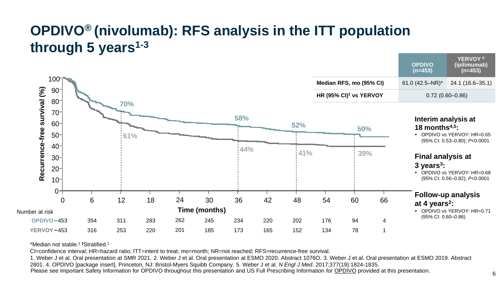# **OPDIVO® (nivolumab): RFS analysis in the ITT population through 5 years1-3**



\*Median not stable.<sup>1</sup>**†**Stratified. 1

CI=confidence interval; HR=hazard ratio; ITT=intent to treat; mo=month; NR=not reached; RFS=recurrence-free survival.

Please see Important Safety Information for OPDIVO throughout this presentation and US Full Prescribing Information for OPDIVO provided at this presentation. 1. Weber J et al. Oral presentation at SMR 2021. 2. Weber J et al. Oral presentation at ESMO 2020. Abstract 1076O. 3. Weber J et al. Oral presentation at ESMO 2019. Abstract 2801. 4. OPDIVO [package insert]. Princeton, NJ: Bristol-Myers Squibb Company. 5. Weber J et al. *N Engl J Med*. 2017;377(19):1824-1835.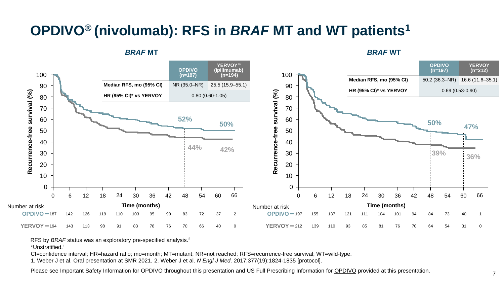# **OPDIVO® (nivolumab): RFS in** *BRAF* **MT and WT patients<sup>1</sup>**

*BRAF* **MT** *BRAF* **WT**



RFS by *BRAF* status was an exploratory pre-specified analysis.<sup>2</sup>

\*Unstratified.<sup>1</sup>

CI=confidence interval; HR=hazard ratio; mo=month; MT=mutant; NR=not reached; RFS=recurrence-free survival; WT=wild-type.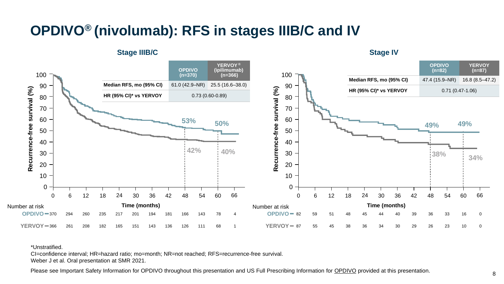### **OPDIVO® (nivolumab): RFS in stages IIIB/C and IV**



#### \*Unstratified.

CI=confidence interval; HR=hazard ratio; mo=month; NR=not reached; RFS=recurrence-free survival. Weber J et al. Oral presentation at SMR 2021.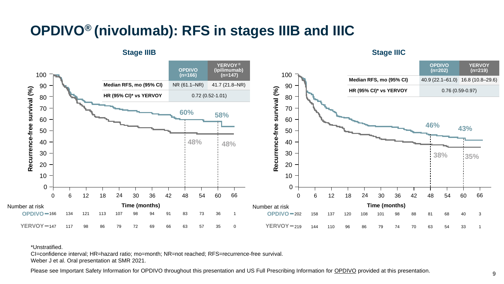### **OPDIVO® (nivolumab): RFS in stages IIIB and IIIC**



#### \*Unstratified.

CI=confidence interval; HR=hazard ratio; mo=month; NR=not reached; RFS=recurrence-free survival. Weber J et al. Oral presentation at SMR 2021.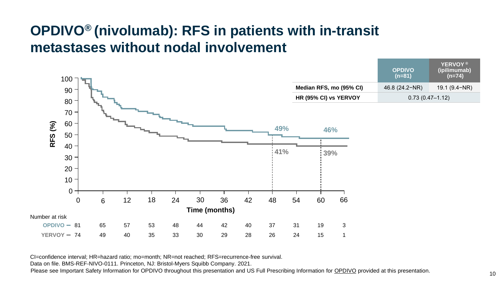### **OPDIVO® (nivolumab): RFS in patients with in-transit metastases without nodal involvement**



CI=confidence interval; HR=hazard ratio; mo=month; NR=not reached; RFS=recurrence-free survival.

Data on file. BMS-REF-NIVO-0111. Princeton, NJ: Bristol-Myers Squibb Company. 2021.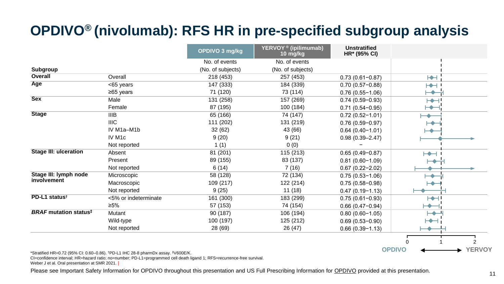# **OPDIVO® (nivolumab): RFS HR in pre-specified subgroup analysis**

|                                          |                      | OPDIVO 3 mg/kg    | YERVOY <sup>®</sup> (ipilimumab)<br>10 mg/kg | <b>Unstratified</b><br>HR* (95% CI) |                                   |
|------------------------------------------|----------------------|-------------------|----------------------------------------------|-------------------------------------|-----------------------------------|
|                                          |                      | No. of events     | No. of events                                |                                     |                                   |
| Subgroup                                 |                      | (No. of subjects) | (No. of subjects)                            |                                     |                                   |
| Overall                                  | Overall              | 218 (453)         | 257 (453)                                    | $0.73(0.61 - 0.87)$                 | H                                 |
| Age                                      | <65 years            | 147 (333)         | 184 (339)                                    | $0.70(0.57-0.88)$                   | $\blacktriangleright\!\!\!\dashv$ |
|                                          | ≥65 years            | 71 (120)          | 73 (114)                                     | $0.76(0.55 - 1.06)$                 |                                   |
| <b>Sex</b>                               | Male                 | 131 (258)         | 157 (269)                                    | $0.74(0.59-0.93)$                   | ⊢⊷                                |
|                                          | Female               | 87 (195)          | 100 (184)                                    | $0.71(0.54 - 0.95)$                 |                                   |
| <b>Stage</b>                             | <b>IIIB</b>          | 65 (166)          | 74 (147)                                     | $0.72(0.52 - 1.01)$                 |                                   |
|                                          | <b>IIIC</b>          | 111 (202)         | 131 (219)                                    | $0.76(0.59 - 0.97)$                 |                                   |
|                                          | IV M1a-M1b           | 32 (62)           | 43 (66)                                      | $0.64(0.40 - 1.01)$                 |                                   |
|                                          | IV M <sub>1c</sub>   | 9(20)             | 9(21)                                        | $0.98(0.39 - 2.47)$                 |                                   |
|                                          | Not reported         | 1(1)              | 0(0)                                         |                                     |                                   |
| <b>Stage III: ulceration</b>             | Absent               | 81 (201)          | 115 (213)                                    | $0.65(0.49 - 0.87)$                 | $\mapsto$                         |
|                                          | Present              | 89 (155)          | 83 (137)                                     | $0.81(0.60 - 1.09)$                 |                                   |
|                                          | Not reported         | 6(14)             | 7(16)                                        | $0.67(0.22 - 2.02)$                 |                                   |
| Stage III: lymph node                    | Microscopic          | 58 (128)          | 72 (134)                                     | $0.75(0.53 - 1.06)$                 |                                   |
| involvement                              | Macroscopic          | 109 (217)         | 122 (214)                                    | $0.75(0.58 - 0.98)$                 |                                   |
|                                          | Not reported         | 9(25)             | 11(18)                                       | $0.47(0.19 - 1.13)$                 |                                   |
| PD-L1 status <sup>t</sup>                | <5% or indeterminate | 161 (300)         | 183 (299)                                    | $0.75(0.61 - 0.93)$                 | ⊢                                 |
|                                          | ≥5%                  | 57 (153)          | 74 (154)                                     | $0.66(0.47-0.94)$                   |                                   |
| <b>BRAF</b> mutation status <sup>‡</sup> | Mutant               | 90 (187)          | 106 (194)                                    | $0.80(0.60 - 1.05)$                 |                                   |
|                                          | Wild-type            | 100 (197)         | 125 (212)                                    | $0.69(0.53 - 0.90)$                 |                                   |
|                                          | Not reported         | 28 (69)           | 26 (47)                                      | $0.66(0.39 - 1.13)$                 |                                   |
|                                          |                      |                   |                                              |                                     |                                   |

\*Stratified HR=0.72 (95% CI: 0.60–0.86). †PD-L1 IHC 28-8 pharmDx assay. ‡V600E/K.

CI=confidence interval; HR=hazard ratio; no=number; PD-L1=programmed cell death ligand 1; RFS=recurrence-free survival.

Weber J et al. Oral presentation at SMR 2021. [

Please see Important Safety Information for OPDIVO throughout this presentation and US Full Prescribing Information for OPDIVO provided at this presentation.<br>
11

**OPDIVO YERVOY** 0 1 2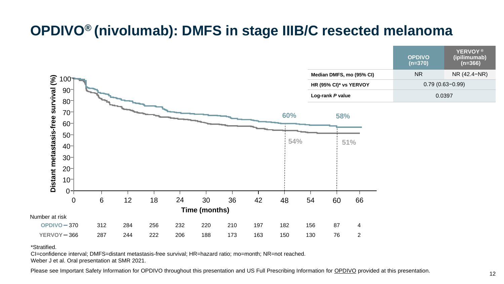### **OPDIVO® (nivolumab): DMFS in stage IIIB/C resected melanoma**



#### \*Stratified.

CI=confidence interval; DMFS=distant metastasis-free survival; HR=hazard ratio; mo=month; NR=not reached. Weber J et al. Oral presentation at SMR 2021.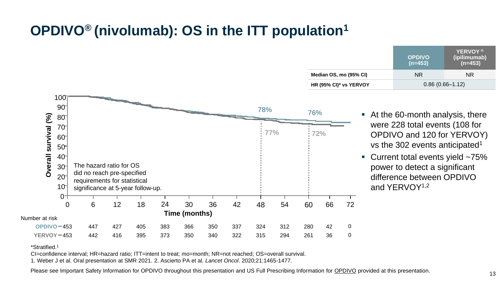# **OPDIVO® (nivolumab): OS in the ITT population<sup>1</sup>**

|                      | 100<br>$90^{-}$ |                                   |     |     |     |               |     |     | 78% |     | 76% |     |    |
|----------------------|-----------------|-----------------------------------|-----|-----|-----|---------------|-----|-----|-----|-----|-----|-----|----|
| Overall survival (%) | $80-$           |                                   |     |     |     |               |     |     |     |     |     |     |    |
|                      | $70 -$          |                                   |     |     |     |               |     |     |     | 77% |     |     |    |
|                      | $60 -$          |                                   |     |     |     |               |     |     |     |     |     | 72% |    |
|                      | $50-$           |                                   |     |     |     |               |     |     |     |     |     |     |    |
|                      | $40-$           |                                   |     |     |     |               |     |     |     |     |     |     |    |
|                      | $30-$           | The hazard ratio for OS           |     |     |     |               |     |     |     |     |     |     |    |
|                      | $20 -$          | did no reach pre-specified        |     |     |     |               |     |     |     |     |     |     |    |
|                      | $10-$           | requirements for statistical      |     |     |     |               |     |     |     |     |     |     |    |
|                      |                 | significance at 5-year follow-up. |     |     |     |               |     |     |     |     |     |     |    |
|                      | $0^-$<br>0      | 6                                 | 12  | 18  | 24  | 30            | 36  | 42  | 48  | 54  | 60  | 66  | 72 |
|                      |                 |                                   |     |     |     |               |     |     |     |     |     |     |    |
| Number at risk       |                 |                                   |     |     |     | Time (months) |     |     |     |     |     |     |    |
|                      | $OPDIVO = 453$  | 447                               | 427 | 405 | 383 | 366           | 350 | 337 | 324 | 312 | 280 | 42  | 0  |
| $YERVOY = 453$       |                 | 442                               | 416 | 395 | 373 | 350           | 340 | 322 | 315 | 294 | 261 | 36  | 0  |

|                        | YERVOY <sup>®</sup><br>(ipilimumab)<br>(n=453)<br><b>OPDIVO</b><br>$(n=453)$ |     |  |  |  |
|------------------------|------------------------------------------------------------------------------|-----|--|--|--|
| Median OS, mo (95% CI) | NR.                                                                          | NR. |  |  |  |
| HR (95% CI)* vs YERVOY | $0.86(0.66 - 1.12)$                                                          |     |  |  |  |

- At the 60-month analysis, there were 228 total events (108 for OPDIVO and 120 for YERVOY) vs the 302 events anticipated<sup>1</sup>
- Current total events yield ~75% power to detect a significant difference between OPDIVO and YERVOY1,2

\*Stratified.<sup>1</sup>

CI=confidence interval; HR=hazard ratio; ITT=intent to treat; mo=month; NR=not reached; OS=overall survival.

1. Weber J et al. Oral presentation at SMR 2021. 2. Ascierto PA et al*. Lancet Oncol*. 2020;21:1465-1477.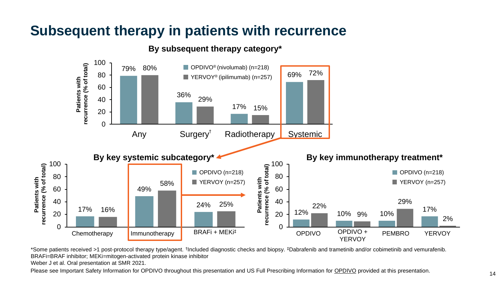### **Subsequent therapy in patients with recurrence**

**Patients with** 



**By subsequent therapy category\***

\*Some patients received >1 post-protocol therapy type/agent. † Included diagnostic checks and biopsy. ‡Dabrafenib and trametinib and/or cobimetinib and vemurafenib. BRAFi=BRAF inhibitor; MEKi=mitogen-activated protein kinase inhibitor Weber J et al. Oral presentation at SMR 2021.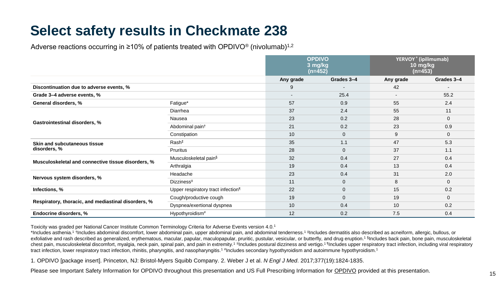# **Select safety results in Checkmate 238**

Adverse reactions occurring in  $\geq 10\%$  of patients treated with OPDIVO<sup>®</sup> (nivolumab)<sup>1,2</sup>

|                                                     |                                                | <b>OPDIVO</b><br>3 mg/kg<br>$(n=452)$ |              | YERVOY <sup>®</sup> (ipilimumab)<br>10 mg/kg<br>(n=453) |              |
|-----------------------------------------------------|------------------------------------------------|---------------------------------------|--------------|---------------------------------------------------------|--------------|
|                                                     |                                                | Any grade                             | Grades 3-4   | Any grade                                               | Grades 3-4   |
| Discontinuation due to adverse events, %            |                                                | 9                                     |              | 42                                                      |              |
| Grade 3-4 adverse events, %                         |                                                | $\overline{\phantom{a}}$              | 25.4         | $\overline{\phantom{a}}$                                | 55.2         |
| General disorders, %                                | Fatigue*                                       | 57                                    | 0.9          | 55                                                      | 2.4          |
|                                                     | Diarrhea                                       | 37                                    | 2.4          | 55                                                      | 11           |
|                                                     | Nausea                                         | 23                                    | 0.2          | 28                                                      | $\mathbf 0$  |
| Gastrointestinal disorders, %                       | Abdominal pain <sup>t</sup>                    | 21                                    | 0.2          | 23                                                      | 0.9          |
|                                                     | Constipation                                   | 10                                    | $\mathbf{0}$ | 9                                                       | $\mathbf{0}$ |
| Skin and subcutaneous tissue                        | Rash‡                                          | 35                                    | 1.1          | 47                                                      | 5.3          |
| disorders, %                                        | Pruritus                                       | 28                                    | $\mathbf{0}$ | 37                                                      | 1.1          |
|                                                     | Musculoskeletal pain <sup>§</sup>              | 32                                    | 0.4          | 27                                                      | 0.4          |
| Musculoskeletal and connective tissue disorders, %  | Arthralgia                                     | 19                                    | 0.4          | 13                                                      | 0.4          |
|                                                     | Headache                                       | 23                                    | 0.4          | 31                                                      | 2.0          |
| Nervous system disorders, %                         | <b>Dizziness<sup>II</sup></b>                  | 11                                    | $\mathbf{0}$ | 8                                                       | $\mathbf{0}$ |
| Infections, %                                       | Upper respiratory tract infection <sup>1</sup> | 22                                    | $\mathbf{0}$ | 15                                                      | 0.2          |
|                                                     | Cough/productive cough                         | 19                                    | $\mathbf{0}$ | 19                                                      | $\mathbf{0}$ |
| Respiratory, thoracic, and mediastinal disorders, % | Dyspnea/exertional dyspnea                     | 10                                    | 0.4          | 10                                                      | 0.2          |
| Endocrine disorders, %                              | Hypothyroidism#                                | 12                                    | 0.2          | 7.5                                                     | 0.4          |

Toxicity was graded per National Cancer Institute Common Terminology Criteria for Adverse Events version 4.0.<sup>1</sup>

\*Includes asthenia.<sup>1</sup> †Includes abdominal discomfort, lower abdominal pain, upper abdominal pain, and abdominal tenderness.<sup>1</sup> ‡Includes dermatitis also described as acneiform, allergic, bullous, or exfoliative and rash described as generalized, erythematous, macular, papular, maculopapular, pruritic, pustular, vesicular, or butterfly, and drug eruption.<sup>1 s</sup>includes back pain, bone pain, musculoskeletal chest pain, musculoskeletal discomfort, myalgia, neck pain, spinal pain, and pain in extremity.<sup>1 II</sup>lncludes postural dizziness and vertigo.<sup>11</sup>lncludes upper respiratory tract infection, including viral respiratory tract infection, lower respiratory tract infection, rhinitis, pharyngitis, and nasopharyngitis.<sup>1#</sup>Includes secondary hypothyroidism and autoimmune hypothyroidism.<sup>1</sup>

1. OPDIVO [package insert]. Princeton, NJ: Bristol-Myers Squibb Company. 2. Weber J et al. *N Engl J Med*. 2017;377(19):1824-1835.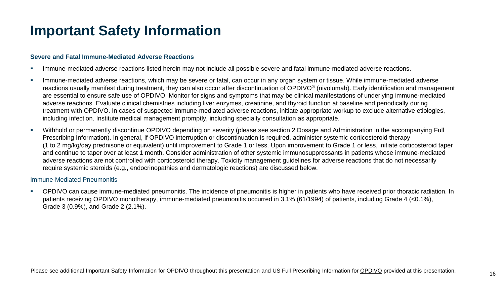### **Important Safety Information**

#### **Severe and Fatal Immune-Mediated Adverse Reactions**

- **EXECT** Immune-mediated adverse reactions listed herein may not include all possible severe and fatal immune-mediated adverse reactions.
- Immune-mediated adverse reactions, which may be severe or fatal, can occur in any organ system or tissue. While immune-mediated adverse reactions usually manifest during treatment, they can also occur after discontinuation of OPDIVO® (nivolumab). Early identification and management are essential to ensure safe use of OPDIVO. Monitor for signs and symptoms that may be clinical manifestations of underlying immune-mediated adverse reactions. Evaluate clinical chemistries including liver enzymes, creatinine, and thyroid function at baseline and periodically during treatment with OPDIVO. In cases of suspected immune-mediated adverse reactions, initiate appropriate workup to exclude alternative etiologies, including infection. Institute medical management promptly, including specialty consultation as appropriate.
- Withhold or permanently discontinue OPDIVO depending on severity (please see section 2 Dosage and Administration in the accompanying Full Prescribing Information). In general, if OPDIVO interruption or discontinuation is required, administer systemic corticosteroid therapy (1 to 2 mg/kg/day prednisone or equivalent) until improvement to Grade 1 or less. Upon improvement to Grade 1 or less, initiate corticosteroid taper and continue to taper over at least 1 month. Consider administration of other systemic immunosuppressants in patients whose immune-mediated adverse reactions are not controlled with corticosteroid therapy. Toxicity management guidelines for adverse reactions that do not necessarily require systemic steroids (e.g., endocrinopathies and dermatologic reactions) are discussed below.

#### Immune-Mediated Pneumonitis

▪ OPDIVO can cause immune-mediated pneumonitis. The incidence of pneumonitis is higher in patients who have received prior thoracic radiation. In patients receiving OPDIVO monotherapy, immune-mediated pneumonitis occurred in 3.1% (61/1994) of patients, including Grade 4 (<0.1%), Grade 3 (0.9%), and Grade 2 (2.1%).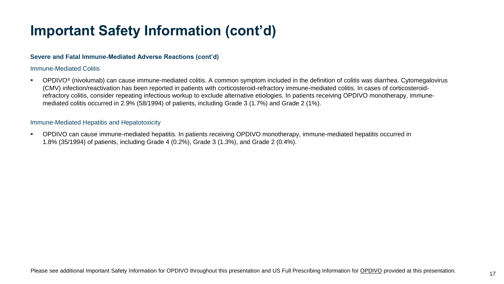#### **Severe and Fatal Immune-Mediated Adverse Reactions (cont'd)**

#### Immune-Mediated Colitis

■ OPDIVO<sup>®</sup> (nivolumab) can cause immune-mediated colitis. A common symptom included in the definition of colitis was diarrhea. Cytomegalovirus (CMV) infection/reactivation has been reported in patients with corticosteroid-refractory immune-mediated colitis. In cases of corticosteroidrefractory colitis, consider repeating infectious workup to exclude alternative etiologies. In patients receiving OPDIVO monotherapy, immunemediated colitis occurred in 2.9% (58/1994) of patients, including Grade 3 (1.7%) and Grade 2 (1%).

#### Immune-Mediated Hepatitis and Hepatotoxicity

▪ OPDIVO can cause immune-mediated hepatitis. In patients receiving OPDIVO monotherapy, immune-mediated hepatitis occurred in 1.8% (35/1994) of patients, including Grade 4 (0.2%), Grade 3 (1.3%), and Grade 2 (0.4%).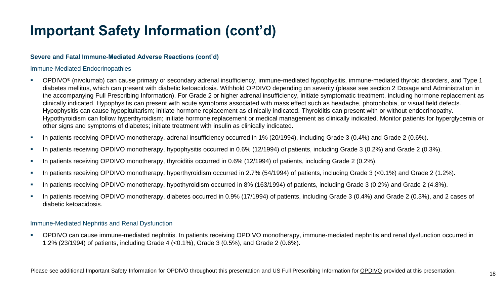#### **Severe and Fatal Immune-Mediated Adverse Reactions (cont'd)**

#### Immune-Mediated Endocrinopathies

- OPDIVO® (nivolumab) can cause primary or secondary adrenal insufficiency, immune-mediated hypophysitis, immune-mediated thyroid disorders, and Type 1 diabetes mellitus, which can present with diabetic ketoacidosis. Withhold OPDIVO depending on severity (please see section 2 Dosage and Administration in the accompanying Full Prescribing Information). For Grade 2 or higher adrenal insufficiency, initiate symptomatic treatment, including hormone replacement as clinically indicated. Hypophysitis can present with acute symptoms associated with mass effect such as headache, photophobia, or visual field defects. Hypophysitis can cause hypopituitarism; initiate hormone replacement as clinically indicated. Thyroiditis can present with or without endocrinopathy. Hypothyroidism can follow hyperthyroidism; initiate hormone replacement or medical management as clinically indicated. Monitor patients for hyperglycemia or other signs and symptoms of diabetes; initiate treatment with insulin as clinically indicated.
- In patients receiving OPDIVO monotherapy, adrenal insufficiency occurred in 1% (20/1994), including Grade 3 (0.4%) and Grade 2 (0.6%).
- In patients receiving OPDIVO monotherapy, hypophysitis occurred in 0.6% (12/1994) of patients, including Grade 3 (0.2%) and Grade 2 (0.3%).
- In patients receiving OPDIVO monotherapy, thyroiditis occurred in 0.6% (12/1994) of patients, including Grade 2 (0.2%).
- In patients receiving OPDIVO monotherapy, hyperthyroidism occurred in 2.7% (54/1994) of patients, including Grade 3 (<0.1%) and Grade 2 (1.2%).
- In patients receiving OPDIVO monotherapy, hypothyroidism occurred in 8% (163/1994) of patients, including Grade 3 (0.2%) and Grade 2 (4.8%).
- In patients receiving OPDIVO monotherapy, diabetes occurred in 0.9% (17/1994) of patients, including Grade 3 (0.4%) and Grade 2 (0.3%), and 2 cases of diabetic ketoacidosis.

#### Immune-Mediated Nephritis and Renal Dysfunction

▪ OPDIVO can cause immune-mediated nephritis. In patients receiving OPDIVO monotherapy, immune-mediated nephritis and renal dysfunction occurred in 1.2% (23/1994) of patients, including Grade 4 (<0.1%), Grade 3 (0.5%), and Grade 2 (0.6%).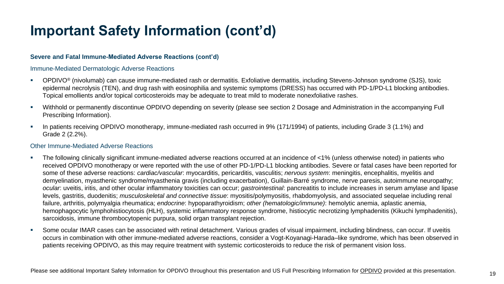#### **Severe and Fatal Immune-Mediated Adverse Reactions (cont'd)**

#### Immune-Mediated Dermatologic Adverse Reactions

- OPDIVO® (nivolumab) can cause immune-mediated rash or dermatitis. Exfoliative dermatitis, including Stevens-Johnson syndrome (SJS), toxic epidermal necrolysis (TEN), and drug rash with eosinophilia and systemic symptoms (DRESS) has occurred with PD-1/PD-L1 blocking antibodies. Topical emollients and/or topical corticosteroids may be adequate to treat mild to moderate nonexfoliative rashes.
- Withhold or permanently discontinue OPDIVO depending on severity (please see section 2 Dosage and Administration in the accompanying Full Prescribing Information).
- In patients receiving OPDIVO monotherapy, immune-mediated rash occurred in 9% (171/1994) of patients, including Grade 3 (1.1%) and Grade 2 (2.2%).

#### Other Immune-Mediated Adverse Reactions

- The following clinically significant immune-mediated adverse reactions occurred at an incidence of <1% (unless otherwise noted) in patients who received OPDIVO monotherapy or were reported with the use of other PD-1/PD-L1 blocking antibodies. Severe or fatal cases have been reported for some of these adverse reactions: *cardiac/vascular*: myocarditis, pericarditis, vasculitis; *nervous system*: meningitis, encephalitis, myelitis and demyelination, myasthenic syndrome/myasthenia gravis (including exacerbation), Guillain-Barré syndrome, nerve paresis, autoimmune neuropathy; *ocular*: uveitis, iritis, and other ocular inflammatory toxicities can occur; *gastrointestinal*: pancreatitis to include increases in serum amylase and lipase levels, gastritis, duodenitis; *musculoskeletal and connective tissue*: myositis/polymyositis, rhabdomyolysis, and associated sequelae including renal failure, arthritis, polymyalgia rheumatica; *endocrine*: hypoparathyroidism; *other (hematologic/immune)*: hemolytic anemia, aplastic anemia, hemophagocytic lymphohistiocytosis (HLH), systemic inflammatory response syndrome, histiocytic necrotizing lymphadenitis (Kikuchi lymphadenitis), sarcoidosis, immune thrombocytopenic purpura, solid organ transplant rejection.
- Some ocular IMAR cases can be associated with retinal detachment. Various grades of visual impairment, including blindness, can occur. If uveitis occurs in combination with other immune-mediated adverse reactions, consider a Vogt-Koyanagi-Harada–like syndrome, which has been observed in patients receiving OPDIVO, as this may require treatment with systemic corticosteroids to reduce the risk of permanent vision loss.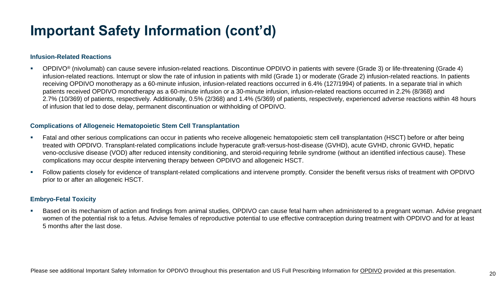#### **Infusion-Related Reactions**

▪ OPDIVO® (nivolumab) can cause severe infusion-related reactions. Discontinue OPDIVO in patients with severe (Grade 3) or life-threatening (Grade 4) infusion-related reactions. Interrupt or slow the rate of infusion in patients with mild (Grade 1) or moderate (Grade 2) infusion-related reactions. In patients receiving OPDIVO monotherapy as a 60-minute infusion, infusion-related reactions occurred in 6.4% (127/1994) of patients. In a separate trial in which patients received OPDIVO monotherapy as a 60-minute infusion or a 30-minute infusion, infusion-related reactions occurred in 2.2% (8/368) and 2.7% (10/369) of patients, respectively. Additionally, 0.5% (2/368) and 1.4% (5/369) of patients, respectively, experienced adverse reactions within 48 hours of infusion that led to dose delay, permanent discontinuation or withholding of OPDIVO.

#### **Complications of Allogeneic Hematopoietic Stem Cell Transplantation**

- Fatal and other serious complications can occur in patients who receive allogeneic hematopoietic stem cell transplantation (HSCT) before or after being treated with OPDIVO. Transplant-related complications include hyperacute graft-versus-host-disease (GVHD), acute GVHD, chronic GVHD, hepatic veno-occlusive disease (VOD) after reduced intensity conditioning, and steroid-requiring febrile syndrome (without an identified infectious cause). These complications may occur despite intervening therapy between OPDIVO and allogeneic HSCT.
- Follow patients closely for evidence of transplant-related complications and intervene promptly. Consider the benefit versus risks of treatment with OPDIVO prior to or after an allogeneic HSCT.

#### **Embryo-Fetal Toxicity**

▪ Based on its mechanism of action and findings from animal studies, OPDIVO can cause fetal harm when administered to a pregnant woman. Advise pregnant women of the potential risk to a fetus. Advise females of reproductive potential to use effective contraception during treatment with OPDIVO and for at least 5 months after the last dose.